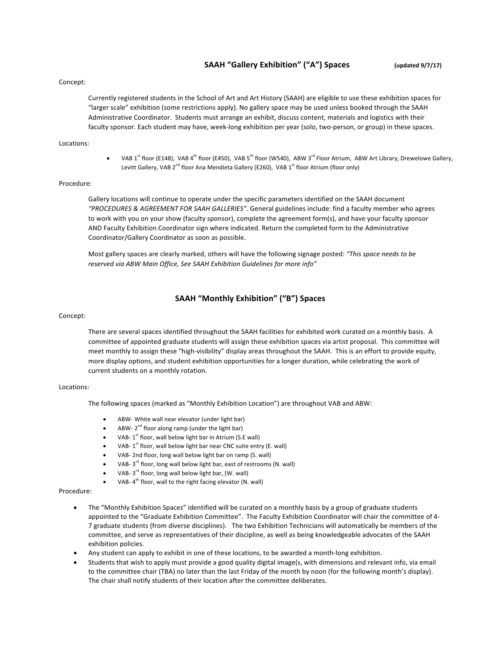## **SAAH "Gallery Exhibition" ("A") Spaces** (updated 9/7/17)

#### Concept:

Currently registered students in the School of Art and Art History (SAAH) are eligible to use these exhibition spaces for "larger scale" exhibition (some restrictions apply). No gallery space may be used unless booked through the SAAH Administrative Coordinator. Students must arrange an exhibit, discuss content, materials and logistics with their faculty sponsor. Each student may have, week-long exhibition per year (solo, two-person, or group) in these spaces.

### Locations:

VAB 1<sup>st</sup> floor (E148), VAB 4<sup>th</sup> floor (E450), VAB 5<sup>th</sup> floor (W540), ABW 3<sup>rd</sup> Floor Atrium, ABW Art Library, Drewelowe Gallery, Levitt Gallery, VAB 2<sup>nd</sup> floor Ana Mendieta Gallery (E260), VAB 1<sup>st</sup> floor Atrium (floor only)

### Procedure:

Gallery locations will continue to operate under the specific parameters identified on the SAAH document "PROCEDURES & AGREEMENT FOR SAAH GALLERIES". General guidelines include: find a faculty member who agrees to work with you on your show (faculty sponsor), complete the agreement form(s), and have your faculty sponsor AND Faculty Exhibition Coordinator sign where indicated. Return the completed form to the Administrative Coordinator/Gallery Coordinator as soon as possible.

Most gallery spaces are clearly marked, others will have the following signage posted: "This space needs to be reserved via ABW Main Office, See SAAH Exhibition Guidelines for more info"

## **SAAH "Monthly Exhibition" ("B") Spaces**

### Concept:

There are several spaces identified throughout the SAAH facilities for exhibited work curated on a monthly basis. A committee of appointed graduate students will assign these exhibition spaces via artist proposal. This committee will meet monthly to assign these "high-visibility" display areas throughout the SAAH. This is an effort to provide equity, more display options, and student exhibition opportunities for a longer duration, while celebrating the work of current students on a monthly rotation.

### Locations:

The following spaces (marked as "Monthly Exhibition Location") are throughout VAB and ABW:

- ABW- White wall near elevator (under light bar)
- ABW-  $2^{nd}$  floor along ramp (under the light bar)
- VAB-  $1^{st}$  floor, wall below light bar in Atrium (S.E wall)
- VAB-  $1^{st}$  floor, wall below light bar near CNC suite entry (E. wall)
- VAB- 2nd floor, long wall below light bar on ramp (S. wall)
- VAB- $3^{rd}$  floor, long wall below light bar, east of restrooms (N. wall)
- VAB- $3^{rd}$  floor, long wall below light bar, (W. wall)
- VAB- $4<sup>th</sup>$  floor, wall to the right facing elevator (N. wall)

## Procedure:

- The "Monthly Exhibition Spaces" identified will be curated on a monthly basis by a group of graduate students appointed to the "Graduate Exhibition Committee". The Faculty Exhibition Coordinator will chair the committee of 4-7 graduate students (from diverse disciplines). The two Exhibition Technicians will automatically be members of the committee, and serve as representatives of their discipline, as well as being knowledgeable advocates of the SAAH exhibition policies.
- Any student can apply to exhibit in one of these locations, to be awarded a month-long exhibition.
- Students that wish to apply must provide a good quality digital image(s, with dimensions and relevant info, via email to the committee chair (TBA) no later than the last Friday of the month by noon (for the following month's display). The chair shall notify students of their location after the committee deliberates.